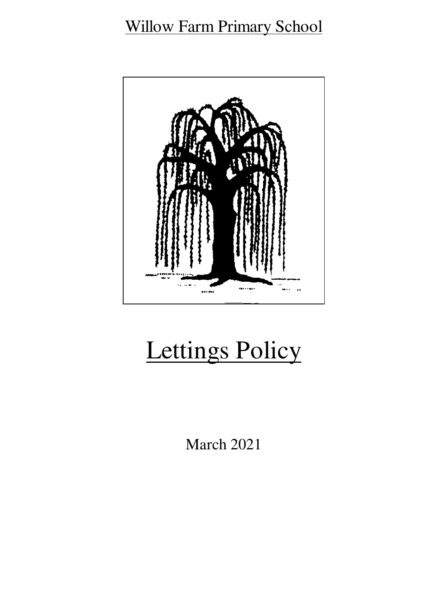# Willow Farm Primary School



# Lettings Policy

March 2021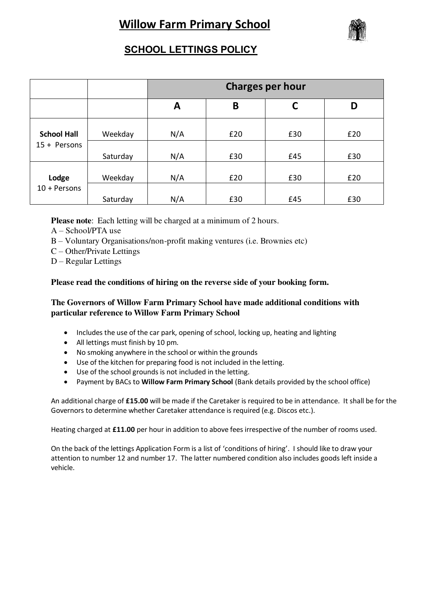# **Willow Farm Primary School**



## **SCHOOL LETTINGS POLICY**

|                                      |          | <b>Charges per hour</b> |     |     |     |
|--------------------------------------|----------|-------------------------|-----|-----|-----|
|                                      |          | A                       | B   | C   | D   |
| <b>School Hall</b><br>$15 +$ Persons | Weekday  | N/A                     | £20 | £30 | £20 |
|                                      | Saturday | N/A                     | £30 | £45 | £30 |
| Lodge<br>$10 +$ Persons              | Weekday  | N/A                     | £20 | £30 | £20 |
|                                      | Saturday | N/A                     | £30 | £45 | £30 |

**Please note**: Each letting will be charged at a minimum of 2 hours.

- A School/PTA use
- B Voluntary Organisations/non-profit making ventures (i.e. Brownies etc)
- C Other/Private Lettings
- D Regular Lettings

### **Please read the conditions of hiring on the reverse side of your booking form.**

### **The Governors of Willow Farm Primary School have made additional conditions with particular reference to Willow Farm Primary School**

- Includes the use of the car park, opening of school, locking up, heating and lighting
- All lettings must finish by 10 pm.
- No smoking anywhere in the school or within the grounds
- Use of the kitchen for preparing food is not included in the letting.
- Use of the school grounds is not included in the letting.
- Payment by BACs to **Willow Farm Primary School** (Bank details provided by the school office)

An additional charge of **£15.00** will be made if the Caretaker is required to be in attendance. It shall be for the Governors to determine whether Caretaker attendance is required (e.g. Discos etc.).

Heating charged at **£11.00** per hour in addition to above fees irrespective of the number of rooms used.

On the back of the lettings Application Form is a list of 'conditions of hiring'. I should like to draw your attention to number 12 and number 17. The latter numbered condition also includes goods left inside a vehicle.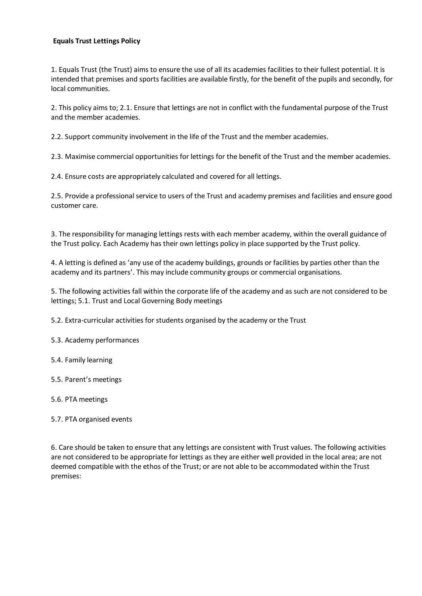#### **Equals Trust Lettings Policy**

1. Equals Trust (the Trust) aims to ensure the use of all its academies facilities to their fullest potential. It is intended that premises and sports facilities are available firstly, for the benefit of the pupils and secondly, for local communities.

2. This policy aims to; 2.1. Ensure that lettings are not in conflict with the fundamental purpose of the Trust and the member academies.

2.2. Support community involvement in the life of the Trust and the member academies.

2.3. Maximise commercial opportunities for lettings for the benefit of the Trust and the member academies.

2.4. Ensure costs are appropriately calculated and covered for all lettings.

2.5. Provide a professional service to users of the Trust and academy premises and facilities and ensure good customer care.

3. The responsibility for managing lettings rests with each member academy, within the overall guidance of the Trust policy. Each Academy has their own lettings policy in place supported by the Trust policy.

4. A letting is defined as 'any use of the academy buildings, grounds or facilities by parties other than the academy and its partners'. This may include community groups or commercial organisations.

5. The following activities fall within the corporate life of the academy and as such are not considered to be lettings; 5.1. Trust and Local Governing Body meetings

5.2. Extra-curricular activities for students organised by the academy or the Trust

5.3. Academy performances

5.4. Family learning

5.5. Parent's meetings

5.6. PTA meetings

5.7. PTA organised events

6. Care should be taken to ensure that any lettings are consistent with Trust values. The following activities are not considered to be appropriate for lettings as they are either well provided in the local area; are not deemed compatible with the ethos of the Trust; or are not able to be accommodated within the Trust premises: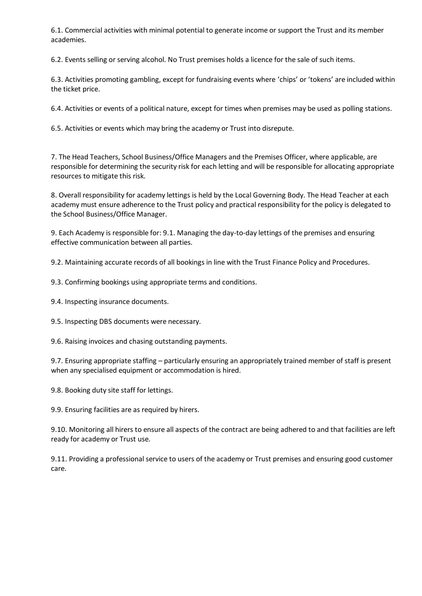6.1. Commercial activities with minimal potential to generate income or support the Trust and its member academies.

6.2. Events selling or serving alcohol. No Trust premises holds a licence for the sale of such items.

6.3. Activities promoting gambling, except for fundraising events where 'chips' or 'tokens' are included within the ticket price.

6.4. Activities or events of a political nature, except for times when premises may be used as polling stations.

6.5. Activities or events which may bring the academy or Trust into disrepute.

7. The Head Teachers, School Business/Office Managers and the Premises Officer, where applicable, are responsible for determining the security risk for each letting and will be responsible for allocating appropriate resources to mitigate this risk.

8. Overall responsibility for academy lettings is held by the Local Governing Body. The Head Teacher at each academy must ensure adherence to the Trust policy and practical responsibility for the policy is delegated to the School Business/Office Manager.

9. Each Academy is responsible for: 9.1. Managing the day-to-day lettings of the premises and ensuring effective communication between all parties.

9.2. Maintaining accurate records of all bookings in line with the Trust Finance Policy and Procedures.

9.3. Confirming bookings using appropriate terms and conditions.

9.4. Inspecting insurance documents.

9.5. Inspecting DBS documents were necessary.

9.6. Raising invoices and chasing outstanding payments.

9.7. Ensuring appropriate staffing – particularly ensuring an appropriately trained member of staff is present when any specialised equipment or accommodation is hired.

9.8. Booking duty site staff for lettings.

9.9. Ensuring facilities are as required by hirers.

9.10. Monitoring all hirers to ensure all aspects of the contract are being adhered to and that facilities are left ready for academy or Trust use.

9.11. Providing a professional service to users of the academy or Trust premises and ensuring good customer care.